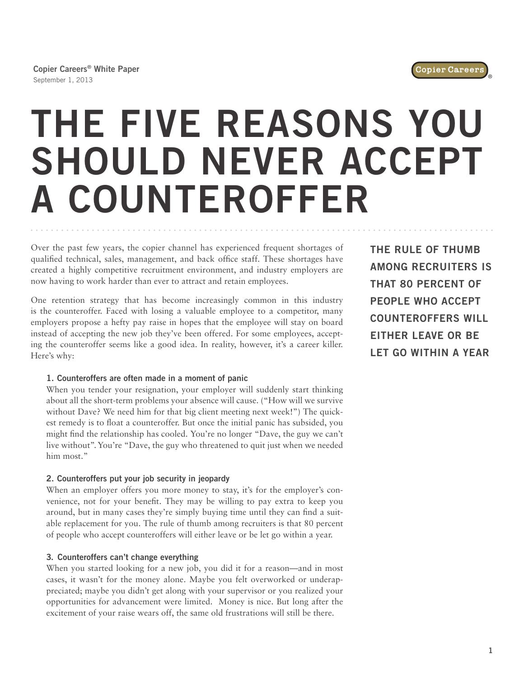

**Copier Careers® White Paper** September 1, 2013

# **THE FIVE REASONS YOU SHOULD NEVER ACCEPT A COUNTEROFFER**

Over the past few years, the copier channel has experienced frequent shortages of qualified technical, sales, management, and back office staff. These shortages have created a highly competitive recruitment environment, and industry employers are now having to work harder than ever to attract and retain employees.

One retention strategy that has become increasingly common in this industry is the counteroffer. Faced with losing a valuable employee to a competitor, many employers propose a hefty pay raise in hopes that the employee will stay on board instead of accepting the new job they've been offered. For some employees, accepting the counteroffer seems like a good idea. In reality, however, it's a career killer. Here's why:

# **1. Counteroffers are often made in a moment of panic**

When you tender your resignation, your employer will suddenly start thinking about all the short-term problems your absence will cause. ("How will we survive without Dave? We need him for that big client meeting next week!") The quickest remedy is to float a counteroffer. But once the initial panic has subsided, you might find the relationship has cooled. You're no longer "Dave, the guy we can't live without". You're "Dave, the guy who threatened to quit just when we needed him most."

# **2. Counteroffers put your job security in jeopardy**

When an employer offers you more money to stay, it's for the employer's convenience, not for your benefit. They may be willing to pay extra to keep you around, but in many cases they're simply buying time until they can find a suitable replacement for you. The rule of thumb among recruiters is that 80 percent of people who accept counteroffers will either leave or be let go within a year.

# **3. Counteroffers can't change everything**

When you started looking for a new job, you did it for a reason—and in most cases, it wasn't for the money alone. Maybe you felt overworked or underappreciated; maybe you didn't get along with your supervisor or you realized your opportunities for advancement were limited. Money is nice. But long after the excitement of your raise wears off, the same old frustrations will still be there.

**THE RULE OF THUMB AMONG RECRUITERS IS THAT 80 PERCENT OF PEOPLE WHO ACCEPT COUNTEROFFERS WILL EITHER LEAVE OR BE LET GO WITHIN A YEAR**